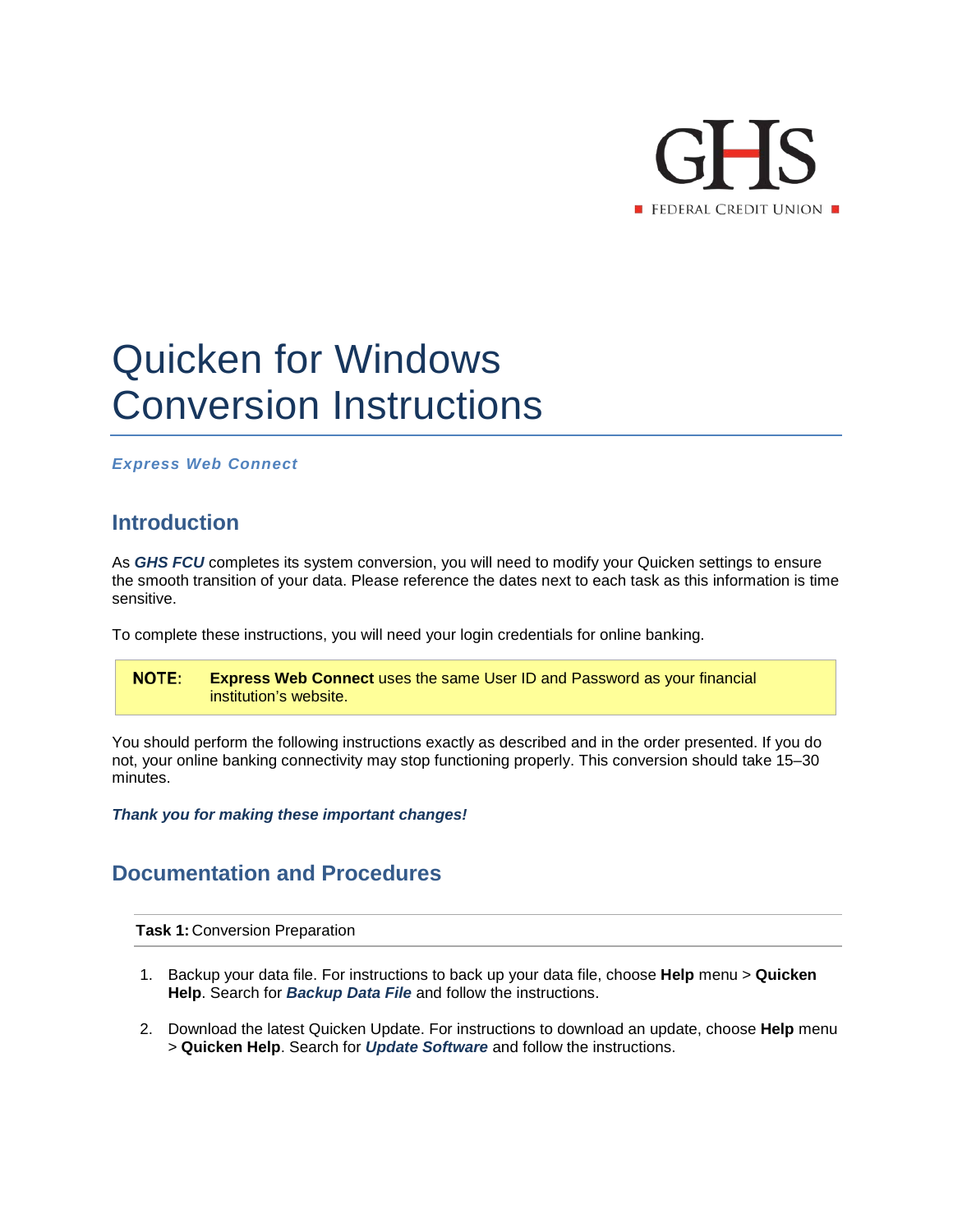

## Quicken for Windows Conversion Instructions

*Express Web Connect*

## **Introduction**

As *GHS FCU* completes its system conversion, you will need to modify your Quicken settings to ensure the smooth transition of your data. Please reference the dates next to each task as this information is time sensitive.

To complete these instructions, you will need your login credentials for online banking.

NOTE: **Express Web Connect** uses the same User ID and Password as your financial institution's website.

You should perform the following instructions exactly as described and in the order presented. If you do not, your online banking connectivity may stop functioning properly. This conversion should take 15–30 minutes.

*Thank you for making these important changes!*

## **Documentation and Procedures**

**Task 1:** Conversion Preparation

- 1. Backup your data file. For instructions to back up your data file, choose **Help** menu > **Quicken Help**. Search for *Backup Data File* and follow the instructions.
- 2. Download the latest Quicken Update. For instructions to download an update, choose **Help** menu > **Quicken Help**. Search for *Update Software* and follow the instructions.